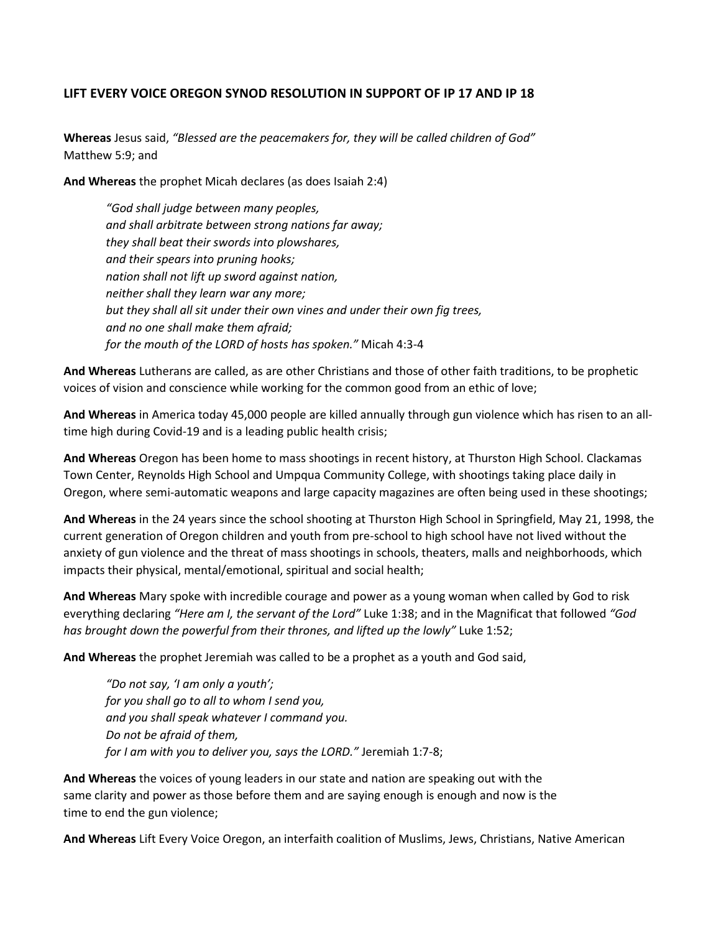## **LIFT EVERY VOICE OREGON SYNOD RESOLUTION IN SUPPORT OF IP 17 AND IP 18**

**Whereas** Jesus said, *"Blessed are the peacemakers for, they will be called children of God"* Matthew 5:9; and

**And Whereas** the prophet Micah declares (as does Isaiah 2:4)

*"God shall judge between many peoples, and shall arbitrate between strong nations far away; they shall beat their swords into plowshares, and their spears into pruning hooks; nation shall not lift up sword against nation, neither shall they learn war any more; but they shall all sit under their own vines and under their own fig trees, and no one shall make them afraid; for the mouth of the LORD of hosts has spoken."* Micah 4:3-4

**And Whereas** Lutherans are called, as are other Christians and those of other faith traditions, to be prophetic voices of vision and conscience while working for the common good from an ethic of love;

**And Whereas** in America today 45,000 people are killed annually through gun violence which has risen to an alltime high during Covid-19 and is a leading public health crisis;

**And Whereas** Oregon has been home to mass shootings in recent history, at Thurston High School. Clackamas Town Center, Reynolds High School and Umpqua Community College, with shootings taking place daily in Oregon, where semi-automatic weapons and large capacity magazines are often being used in these shootings;

**And Whereas** in the 24 years since the school shooting at Thurston High School in Springfield, May 21, 1998, the current generation of Oregon children and youth from pre-school to high school have not lived without the anxiety of gun violence and the threat of mass shootings in schools, theaters, malls and neighborhoods, which impacts their physical, mental/emotional, spiritual and social health;

**And Whereas** Mary spoke with incredible courage and power as a young woman when called by God to risk everything declaring *"Here am I, the servant of the Lord"* Luke 1:38; and in the Magnificat that followed *"God*  has brought down the powerful from their thrones, and lifted up the lowly" Luke 1:52;

**And Whereas** the prophet Jeremiah was called to be a prophet as a youth and God said,

*"Do not say, 'I am only a youth'; for you shall go to all to whom I send you, and you shall speak whatever I command you. Do not be afraid of them, for I am with you to deliver you, says the LORD."* Jeremiah 1:7-8;

**And Whereas** the voices of young leaders in our state and nation are speaking out with the same clarity and power as those before them and are saying enough is enough and now is the time to end the gun violence;

**And Whereas** Lift Every Voice Oregon, an interfaith coalition of Muslims, Jews, Christians, Native American